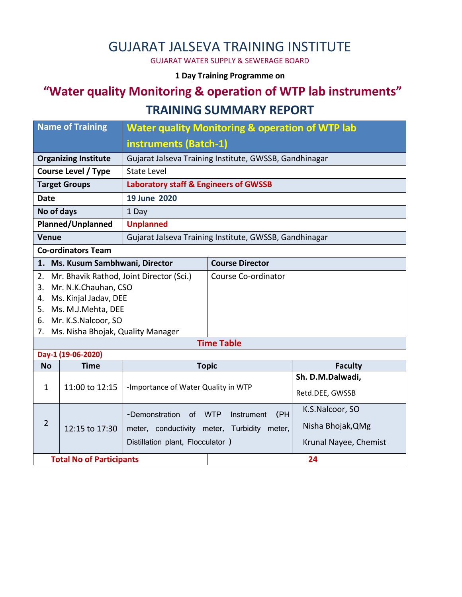# GUJARAT JALSEVA TRAINING INSTITUTE

GUJARAT WATER SUPPLY & SEWERAGE BOARD

#### **1 Day Training Programme on**

# **"Water quality Monitoring & operation of WTP lab instruments"**

### **TRAINING SUMMARY REPORT**

| <b>Name of Training</b>                                |                       | <b>Water quality Monitoring &amp; operation of WTP lab</b> |                        |                       |  |  |  |
|--------------------------------------------------------|-----------------------|------------------------------------------------------------|------------------------|-----------------------|--|--|--|
|                                                        |                       | instruments (Batch-1)                                      |                        |                       |  |  |  |
| <b>Organizing Institute</b>                            |                       | Gujarat Jalseva Training Institute, GWSSB, Gandhinagar     |                        |                       |  |  |  |
| <b>Course Level / Type</b>                             |                       | <b>State Level</b>                                         |                        |                       |  |  |  |
| <b>Target Groups</b>                                   |                       | <b>Laboratory staff &amp; Engineers of GWSSB</b>           |                        |                       |  |  |  |
| <b>Date</b>                                            |                       | 19 June 2020                                               |                        |                       |  |  |  |
| No of days                                             |                       | 1 Day                                                      |                        |                       |  |  |  |
| Planned/Unplanned                                      |                       | <b>Unplanned</b>                                           |                        |                       |  |  |  |
| <b>Venue</b>                                           |                       | Gujarat Jalseva Training Institute, GWSSB, Gandhinagar     |                        |                       |  |  |  |
| <b>Co-ordinators Team</b>                              |                       |                                                            |                        |                       |  |  |  |
| Ms. Kusum Sambhwani, Director<br>1.                    |                       |                                                            | <b>Course Director</b> |                       |  |  |  |
| Mr. Bhavik Rathod, Joint Director (Sci.)<br>2.         |                       |                                                            | Course Co-ordinator    |                       |  |  |  |
| 3.                                                     | Mr. N.K.Chauhan, CSO  |                                                            |                        |                       |  |  |  |
| 4.                                                     | Ms. Kinjal Jadav, DEE |                                                            |                        |                       |  |  |  |
| Ms. M.J.Mehta, DEE<br>5.                               |                       |                                                            |                        |                       |  |  |  |
| Mr. K.S.Nalcoor, SO<br>6.<br>7.                        |                       |                                                            |                        |                       |  |  |  |
| Ms. Nisha Bhojak, Quality Manager<br><b>Time Table</b> |                       |                                                            |                        |                       |  |  |  |
| Day-1 (19-06-2020)                                     |                       |                                                            |                        |                       |  |  |  |
| <b>No</b>                                              | <b>Time</b>           |                                                            | <b>Topic</b>           | <b>Faculty</b>        |  |  |  |
|                                                        | 11:00 to 12:15        | -Importance of Water Quality in WTP                        |                        | Sh. D.M.Dalwadi,      |  |  |  |
| $\mathbf{1}$                                           |                       |                                                            |                        | Retd.DEE, GWSSB       |  |  |  |
| $\overline{2}$                                         |                       | (PH<br>-Demonstration<br><b>WTP</b><br>Instrument<br>0f    |                        | K.S.Nalcoor, SO       |  |  |  |
|                                                        | 12:15 to 17:30        | meter, conductivity meter,                                 | Turbidity<br>meter,    | Nisha Bhojak, QMg     |  |  |  |
|                                                        |                       | Distillation plant, Flocculator )                          |                        | Krunal Nayee, Chemist |  |  |  |
| <b>Total No of Participants</b>                        |                       |                                                            | 24                     |                       |  |  |  |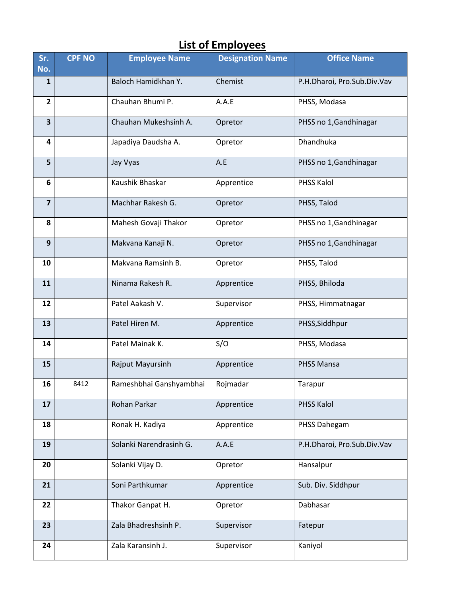# **List of Employees**

| Sr.<br>No.              | <b>CPF NO</b> | <b>Employee Name</b>    | <b>Designation Name</b> | <b>Office Name</b>          |
|-------------------------|---------------|-------------------------|-------------------------|-----------------------------|
| $\mathbf{1}$            |               | Baloch Hamidkhan Y.     | Chemist                 | P.H.Dharoi, Pro.Sub.Div.Vav |
| $\overline{2}$          |               | Chauhan Bhumi P.        | A.A.E                   | PHSS, Modasa                |
| 3                       |               | Chauhan Mukeshsinh A.   | Opretor                 | PHSS no 1, Gandhinagar      |
| 4                       |               | Japadiya Daudsha A.     | Opretor                 | Dhandhuka                   |
| 5                       |               | Jay Vyas                | A.E                     | PHSS no 1, Gandhinagar      |
| 6                       |               | Kaushik Bhaskar         | Apprentice              | PHSS Kalol                  |
| $\overline{\mathbf{z}}$ |               | Machhar Rakesh G.       | Opretor                 | PHSS, Talod                 |
| 8                       |               | Mahesh Govaji Thakor    | Opretor                 | PHSS no 1, Gandhinagar      |
| 9                       |               | Makvana Kanaji N.       | Opretor                 | PHSS no 1, Gandhinagar      |
| 10                      |               | Makvana Ramsinh B.      | Opretor                 | PHSS, Talod                 |
| 11                      |               | Ninama Rakesh R.        | Apprentice              | PHSS, Bhiloda               |
| 12                      |               | Patel Aakash V.         | Supervisor              | PHSS, Himmatnagar           |
| 13                      |               | Patel Hiren M.          | Apprentice              | PHSS, Siddhpur              |
| 14                      |               | Patel Mainak K.         | S/O                     | PHSS, Modasa                |
| 15                      |               | Rajput Mayursinh        | Apprentice              | <b>PHSS Mansa</b>           |
| 16                      | 8412          | Rameshbhai Ganshyambhai | Rojmadar                | Tarapur                     |
| 17                      |               | Rohan Parkar            | Apprentice              | <b>PHSS Kalol</b>           |
| 18                      |               | Ronak H. Kadiya         | Apprentice              | PHSS Dahegam                |
| 19                      |               | Solanki Narendrasinh G. | A.A.E                   | P.H.Dharoi, Pro.Sub.Div.Vav |
| 20                      |               | Solanki Vijay D.        | Opretor                 | Hansalpur                   |
| 21                      |               | Soni Parthkumar         | Apprentice              | Sub. Div. Siddhpur          |
| 22                      |               | Thakor Ganpat H.        | Opretor                 | Dabhasar                    |
| 23                      |               | Zala Bhadreshsinh P.    | Supervisor              | Fatepur                     |
| 24                      |               | Zala Karansinh J.       | Supervisor              | Kaniyol                     |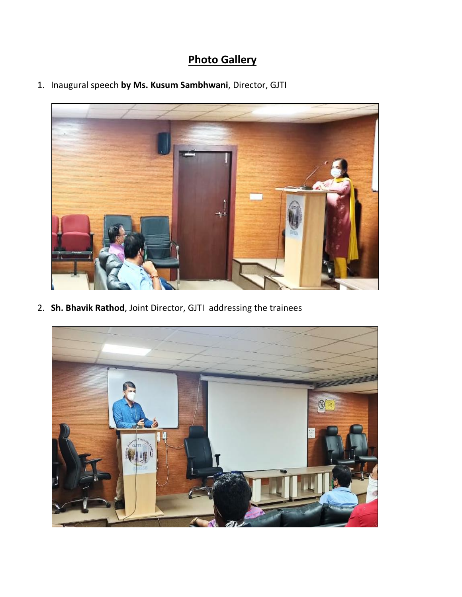# **Photo Gallery**

1. Inaugural speech **by Ms. Kusum Sambhwani**, Director, GJTI



2. **Sh. Bhavik Rathod**, Joint Director, GJTI addressing the trainees